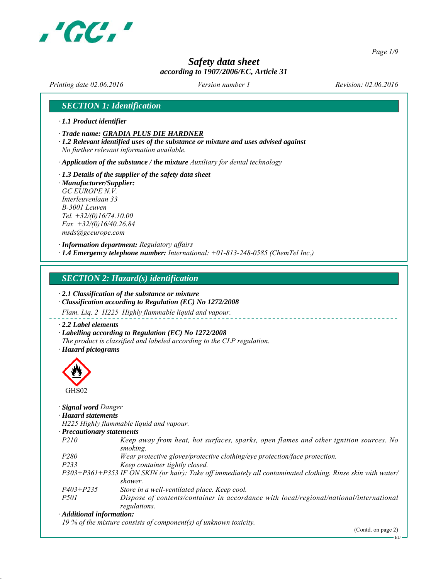

*Page 1/9*

## *Safety data sheet according to 1907/2006/EC, Article 31*

*Printing date 02.06.2016 Revision: 02.06.2016 Version number 1*

## *SECTION 1: Identification*

- *∙ 1.1 Product identifier*
- *∙ Trade name: GRADIA PLUS DIE HARDNER*
- *∙ 1.2 Relevant identified uses of the substance or mixture and uses advised against No further relevant information available.*
- *∙ Application of the substance / the mixture Auxiliary for dental technology*
- *∙ 1.3 Details of the supplier of the safety data sheet ∙ Manufacturer/Supplier:*
- *GC EUROPE N.V. Interleuvenlaan 33 B-3001 Leuven Tel. +32/(0)16/74.10.00 Fax +32/(0)16/40.26.84 msds@gceurope.com*
- *∙ Information department: Regulatory affairs ∙ 1.4 Emergency telephone number: International: +01-813-248-0585 (ChemTel Inc.)*

#### *SECTION 2: Hazard(s) identification*

- *∙ 2.1 Classification of the substance or mixture*
- *∙ Classification according to Regulation (EC) No 1272/2008*
- *Flam. Liq. 2 H225 Highly flammable liquid and vapour.*
- *∙ 2.2 Label elements*
- *∙ Labelling according to Regulation (EC) No 1272/2008*
- *The product is classified and labeled according to the CLP regulation.*

*∙ Hazard pictograms*



- *∙ Signal word Danger*
- *∙ Hazard statements*
- *H225 Highly flammable liquid and vapour.*

| · Precautionary statements |  |
|----------------------------|--|
|----------------------------|--|

- *P210 Keep away from heat, hot surfaces, sparks, open flames and other ignition sources. No smoking.*
- *P280 Wear protective gloves/protective clothing/eye protection/face protection.*
- *P233 Keep container tightly closed.*
- *P303+P361+P353 IF ON SKIN (or hair): Take off immediately all contaminated clothing. Rinse skin with water/ shower.*
- *P403+P235 Store in a well-ventilated place. Keep cool.*
- *P501 Dispose of contents/container in accordance with local/regional/national/international regulations.*

#### *∙ Additional information:*

*19 % of the mixture consists of component(s) of unknown toxicity.*

EU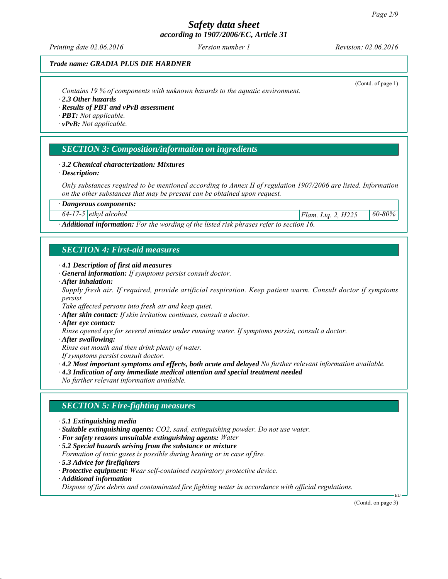*Printing date 02.06.2016 Revision: 02.06.2016 Version number 1*

(Contd. of page 1)

## *Trade name: GRADIA PLUS DIE HARDNER*

*Contains 19 % of components with unknown hazards to the aquatic environment.*

- *∙ 2.3 Other hazards*
- *∙ Results of PBT and vPvB assessment*
- *∙ PBT: Not applicable.*
- *∙ vPvB: Not applicable.*

## *SECTION 3: Composition/information on ingredients*

#### *∙ 3.2 Chemical characterization: Mixtures*

*∙ Description:*

*Only substances required to be mentioned according to Annex II of regulation 1907/2006 are listed. Information on the other substances that may be present can be obtained upon request.*

*∙ Dangerous components:*

*64-17-5 ethyl alcohol Flam. Liq. 2, H225 60-80%*

*∙ Additional information: For the wording of the listed risk phrases refer to section 16.*

## *SECTION 4: First-aid measures*

- *∙ 4.1 Description of first aid measures*
- *∙ General information: If symptoms persist consult doctor.*
- *∙ After inhalation:*

*Supply fresh air. If required, provide artificial respiration. Keep patient warm. Consult doctor if symptoms persist.*

*Take affected persons into fresh air and keep quiet.*

- *∙ After skin contact: If skin irritation continues, consult a doctor.*
- *∙ After eye contact:*

*Rinse opened eye for several minutes under running water. If symptoms persist, consult a doctor.*

*∙ After swallowing:*

*Rinse out mouth and then drink plenty of water.*

*If symptoms persist consult doctor.*

*∙ 4.2 Most important symptoms and effects, both acute and delayed No further relevant information available.*

*∙ 4.3 Indication of any immediate medical attention and special treatment needed*

*No further relevant information available.*

## *SECTION 5: Fire-fighting measures*

- *∙ 5.1 Extinguishing media*
- *∙ Suitable extinguishing agents: CO2, sand, extinguishing powder. Do not use water.*
- *∙ For safety reasons unsuitable extinguishing agents: Water*
- *∙ 5.2 Special hazards arising from the substance or mixture*
- *Formation of toxic gases is possible during heating or in case of fire.*
- *∙ 5.3 Advice for firefighters*
- *∙ Protective equipment: Wear self-contained respiratory protective device.*
- *∙ Additional information*

*Dispose of fire debris and contaminated fire fighting water in accordance with official regulations.*

(Contd. on page 3)

EU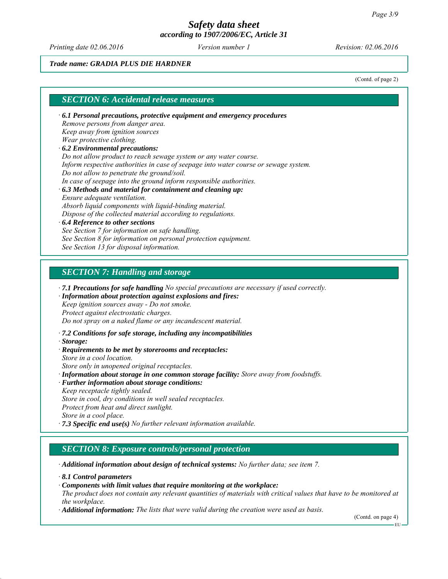*Printing date 02.06.2016 Revision: 02.06.2016 Version number 1*

## *Trade name: GRADIA PLUS DIE HARDNER*

(Contd. of page 2)

## *SECTION 6: Accidental release measures*

*∙ 6.1 Personal precautions, protective equipment and emergency procedures Remove persons from danger area. Keep away from ignition sources Wear protective clothing. ∙ 6.2 Environmental precautions: Do not allow product to reach sewage system or any water course. Inform respective authorities in case of seepage into water course or sewage system. Do not allow to penetrate the ground/soil. In case of seepage into the ground inform responsible authorities. ∙ 6.3 Methods and material for containment and cleaning up: Ensure adequate ventilation. Absorb liquid components with liquid-binding material. Dispose of the collected material according to regulations. ∙ 6.4 Reference to other sections See Section 7 for information on safe handling. See Section 8 for information on personal protection equipment.*

*See Section 13 for disposal information.*

#### *SECTION 7: Handling and storage*

*∙ 7.1 Precautions for safe handling No special precautions are necessary if used correctly.*

*∙ Information about protection against explosions and fires: Keep ignition sources away - Do not smoke.*

*Protect against electrostatic charges.*

*Do not spray on a naked flame or any incandescent material.*

*∙ 7.2 Conditions for safe storage, including any incompatibilities*

*∙ Storage:*

*∙ Requirements to be met by storerooms and receptacles: Store in a cool location.*

*Store only in unopened original receptacles.*

- *∙ Information about storage in one common storage facility: Store away from foodstuffs.*
- *∙ Further information about storage conditions:*
- *Keep receptacle tightly sealed.*

*Store in cool, dry conditions in well sealed receptacles. Protect from heat and direct sunlight.*

*Store in a cool place.*

*∙ 7.3 Specific end use(s) No further relevant information available.*

## *SECTION 8: Exposure controls/personal protection*

*∙ Additional information about design of technical systems: No further data; see item 7.*

*∙ 8.1 Control parameters*

*∙ Components with limit values that require monitoring at the workplace:*

*The product does not contain any relevant quantities of materials with critical values that have to be monitored at the workplace.*

*∙ Additional information: The lists that were valid during the creation were used as basis.*

(Contd. on page 4)

EU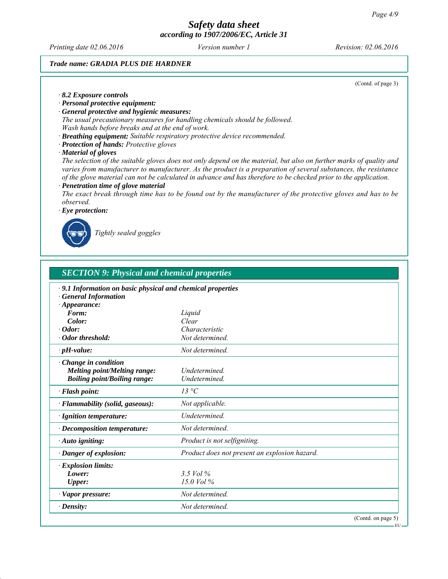*Printing date 02.06.2016 Revision: 02.06.2016 Version number 1*

## *Trade name: GRADIA PLUS DIE HARDNER*

(Contd. of page 3)

EU

#### *∙ 8.2 Exposure controls*

## *∙ Personal protective equipment:*

- *∙ General protective and hygienic measures: The usual precautionary measures for handling chemicals should be followed.*
- *Wash hands before breaks and at the end of work.*
- *∙ Breathing equipment: Suitable respiratory protective device recommended.*
- *∙ Protection of hands: Protective gloves*
- *∙ Material of gloves*

*The selection of the suitable gloves does not only depend on the material, but also on further marks of quality and varies from manufacturer to manufacturer. As the product is a preparation of several substances, the resistance of the glove material can not be calculated in advance and has therefore to be checked prior to the application.*

*∙ Penetration time of glove material*

*The exact break through time has to be found out by the manufacturer of the protective gloves and has to be observed.*

*∙ Eye protection:*



*Tightly sealed goggles*

| <b>SECTION 9: Physical and chemical properties</b>                                                          |                                               |  |
|-------------------------------------------------------------------------------------------------------------|-----------------------------------------------|--|
| · 9.1 Information on basic physical and chemical properties<br>· General Information<br>$\cdot$ Appearance: |                                               |  |
| Form:                                                                                                       | Liquid                                        |  |
| Color:                                                                                                      | Clear                                         |  |
| $\cdot$ Odor:                                                                                               | Characteristic                                |  |
| $\cdot$ Odor threshold:                                                                                     | Not determined.                               |  |
| $\cdot$ pH-value:                                                                                           | Not determined.                               |  |
| · Change in condition<br><b>Melting point/Melting range:</b><br><b>Boiling point/Boiling range:</b>         | <b>Undetermined</b><br>Undetermined.          |  |
| · Flash point:                                                                                              | $13 \text{°C}$                                |  |
| · Flammability (solid, gaseous):                                                                            | Not applicable.                               |  |
| · Ignition temperature:                                                                                     | <b>Undetermined</b>                           |  |
| $\cdot$ Decomposition temperature:                                                                          | Not determined.                               |  |
| $\cdot$ Auto igniting:                                                                                      | Product is not selfigniting.                  |  |
| · Danger of explosion:                                                                                      | Product does not present an explosion hazard. |  |
| $\cdot$ Explosion limits:<br>Lower:<br><b>Upper:</b>                                                        | 3.5 Vol $\%$<br>$15.0$ Vol $%$                |  |
| $\cdot$ Vapor pressure:                                                                                     | Not determined.                               |  |
| $\cdot$ Density:                                                                                            | Not determined.                               |  |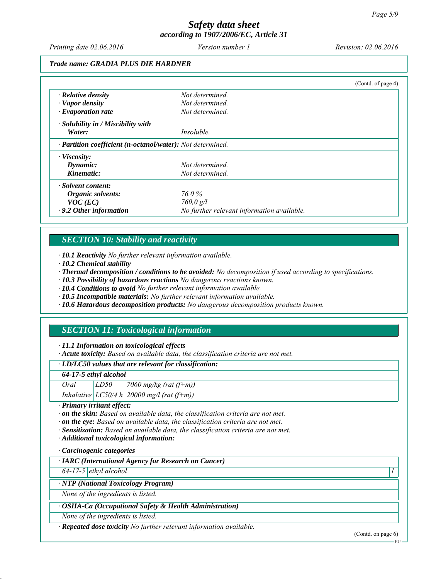*Printing date 02.06.2016 Revision: 02.06.2016 Version number 1*

#### *Trade name: GRADIA PLUS DIE HARDNER*

|                                                            |                                            | (Contd. of page 4) |
|------------------------------------------------------------|--------------------------------------------|--------------------|
| $\cdot$ Relative density                                   | Not determined.                            |                    |
| $\cdot$ Vapor density                                      | Not determined.                            |                    |
| $\cdot$ Evaporation rate                                   | Not determined.                            |                    |
| · Solubility in / Miscibility with                         |                                            |                    |
| Water:                                                     | <i>Insoluble.</i>                          |                    |
| · Partition coefficient (n-octanol/water): Not determined. |                                            |                    |
| $\cdot$ Viscosity:                                         |                                            |                    |
| Dynamic:                                                   | Not determined.                            |                    |
| Kinematic:                                                 | Not determined.                            |                    |
| $\cdot$ Solvent content:                                   |                                            |                    |
| Organic solvents:                                          | 76.0 %                                     |                    |
| $VOC$ (EC)                                                 | 760,0 g/l                                  |                    |
| $\cdot$ 9.2 Other information                              | No further relevant information available. |                    |

## *SECTION 10: Stability and reactivity*

*∙ 10.1 Reactivity No further relevant information available.*

*∙ 10.2 Chemical stability*

*∙ Thermal decomposition / conditions to be avoided: No decomposition if used according to specifications.*

*∙ 10.3 Possibility of hazardous reactions No dangerous reactions known.*

*∙ 10.4 Conditions to avoid No further relevant information available.*

*∙ 10.5 Incompatible materials: No further relevant information available.*

*∙ 10.6 Hazardous decomposition products: No dangerous decomposition products known.*

## *SECTION 11: Toxicological information*

*∙ 11.1 Information on toxicological effects*

*∙ Acute toxicity: Based on available data, the classification criteria are not met.*

#### *∙ LD/LC50 values that are relevant for classification:*

*64-17-5 ethyl alcohol*

| Oral | LD50 | 7060 mg/kg (rat $(f+m)$ )                      |
|------|------|------------------------------------------------|
|      |      | Inhalative $ LCS0/4 h  20000$ mg/l (rat (f+m)) |

*∙ Primary irritant effect:*

*∙ on the skin: Based on available data, the classification criteria are not met.*

*∙ on the eye: Based on available data, the classification criteria are not met.*

*∙ Sensitization: Based on available data, the classification criteria are not met.*

*∙ Additional toxicological information:*

*∙ Carcinogenic categories*

*∙ IARC (International Agency for Research on Cancer)*

*64-17-5 ethyl alcohol 1* 

*∙ NTP (National Toxicology Program)*

*None of the ingredients is listed.*

## *∙ OSHA-Ca (Occupational Safety & Health Administration)*

*None of the ingredients is listed.*

*∙ Repeated dose toxicity No further relevant information available.*

(Contd. on page 6)

EU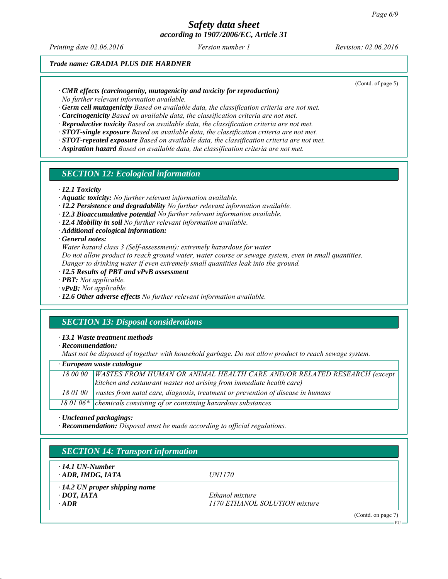# *Safety data sheet*

*according to 1907/2006/EC, Article 31*

*Printing date 02.06.2016 Revision: 02.06.2016 Version number 1*

(Contd. of page 5)

## *Trade name: GRADIA PLUS DIE HARDNER*

*∙ CMR effects (carcinogenity, mutagenicity and toxicity for reproduction)*

*No further relevant information available.*

*∙ Germ cell mutagenicity Based on available data, the classification criteria are not met.*

*∙ Carcinogenicity Based on available data, the classification criteria are not met.*

- *∙ Reproductive toxicity Based on available data, the classification criteria are not met.*
- *∙ STOT-single exposure Based on available data, the classification criteria are not met.*
- *∙ STOT-repeated exposure Based on available data, the classification criteria are not met.*
- *∙ Aspiration hazard Based on available data, the classification criteria are not met.*

## *SECTION 12: Ecological information*

*∙ 12.1 Toxicity*

- *∙ Aquatic toxicity: No further relevant information available.*
- *∙ 12.2 Persistence and degradability No further relevant information available.*
- *∙ 12.3 Bioaccumulative potential No further relevant information available.*
- *∙ 12.4 Mobility in soil No further relevant information available.*
- *∙ Additional ecological information:*

*∙ General notes:*

*Water hazard class 3 (Self-assessment): extremely hazardous for water*

*Do not allow product to reach ground water, water course or sewage system, even in small quantities.*

*Danger to drinking water if even extremely small quantities leak into the ground.*

*∙ 12.5 Results of PBT and vPvB assessment*

*∙ PBT: Not applicable.*

*∙ vPvB: Not applicable.*

*∙ 12.6 Other adverse effects No further relevant information available.*

## *SECTION 13: Disposal considerations*

*∙ 13.1 Waste treatment methods*

*∙ Recommendation:*

*Must not be disposed of together with household garbage. Do not allow product to reach sewage system.*

#### *∙ European waste catalogue*

| 18 00 00   WASTES FROM HUMAN OR ANIMAL HEALTH CARE AND/OR RELATED RESEARCH (except       |
|------------------------------------------------------------------------------------------|
| kitchen and restaurant wastes not arising from immediate health care)                    |
| 18 01 00 wastes from natal care, diagnosis, treatment or prevention of disease in humans |
| 18 01 06* chemicals consisting of or containing hazardous substances                     |

*∙ Uncleaned packagings:*

*∙ Recommendation: Disposal must be made according to official regulations.*

| $\cdot$ 14.1 UN-Number               |                               |  |
|--------------------------------------|-------------------------------|--|
| $\cdot$ ADR, IMDG, IATA              | <i>UN1170</i>                 |  |
| $\cdot$ 14.2 UN proper shipping name |                               |  |
| $\cdot$ DOT, IATA                    | Ethanol mixture               |  |
| $\cdot$ ADR                          | 1170 ETHANOL SOLUTION mixture |  |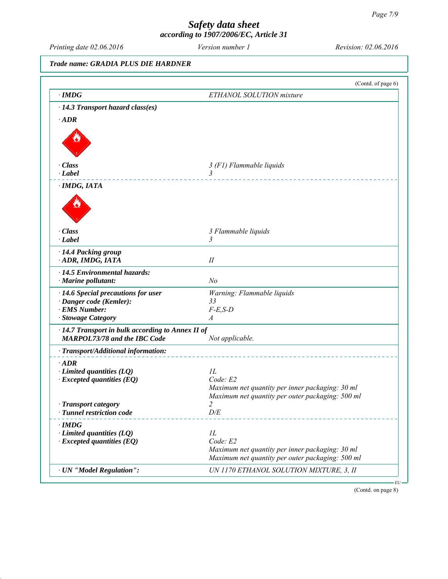*Printing date 02.06.2016 Revision: 02.06.2016 Version number 1*

## *Trade name: GRADIA PLUS DIE HARDNER*

|                                                                     | (Contd. of page 6)                               |
|---------------------------------------------------------------------|--------------------------------------------------|
| $\cdot$ IMDG                                                        | ETHANOL SOLUTION mixture                         |
| · 14.3 Transport hazard class(es)                                   |                                                  |
| $\cdot$ <i>ADR</i>                                                  |                                                  |
|                                                                     |                                                  |
|                                                                     |                                                  |
| · Class                                                             | 3 (F1) Flammable liquids                         |
| $\cdot$ Label                                                       | $\overline{3}$                                   |
| · IMDG, IATA                                                        |                                                  |
|                                                                     |                                                  |
| $\cdot$ Class                                                       | 3 Flammable liquids                              |
| $\cdot$ Label                                                       | 3                                                |
| · 14.4 Packing group                                                |                                                  |
| ADR, IMDG, IATA                                                     | $I\!I$                                           |
| · 14.5 Environmental hazards:                                       |                                                  |
| · Marine pollutant:                                                 | N <sub>o</sub>                                   |
| $\cdot$ 14.6 Special precautions for user                           | Warning: Flammable liquids                       |
| · Danger code (Kemler):                                             | 33                                               |
| <b>EMS Number:</b>                                                  | $F-E,S-D$                                        |
| <b>Stowage Category</b>                                             | A                                                |
| · 14.7 Transport in bulk according to Annex II of                   |                                                  |
| <b>MARPOL73/78 and the IBC Code</b>                                 | Not applicable.                                  |
| · Transport/Additional information:                                 |                                                  |
|                                                                     |                                                  |
| $\cdot$ ADR                                                         | 1L                                               |
| $\cdot$ Limited quantities (LQ)<br>$\cdot$ Excepted quantities (EQ) | Code: E2                                         |
|                                                                     | Maximum net quantity per inner packaging: 30 ml  |
|                                                                     | Maximum net quantity per outer packaging: 500 ml |
| <b>Transport category</b>                                           | 2                                                |
| · Tunnel restriction code                                           | D/E                                              |
| $\cdot$ IMDG                                                        |                                                  |
| $\cdot$ Limited quantities (LQ)                                     | 1L                                               |
| $\cdot$ Excepted quantities (EQ)                                    | Code: E2                                         |
|                                                                     | Maximum net quantity per inner packaging: 30 ml  |
|                                                                     | Maximum net quantity per outer packaging: 500 ml |
| · UN "Model Regulation":                                            | UN 1170 ETHANOL SOLUTION MIXTURE, 3, II          |

(Contd. on page 8)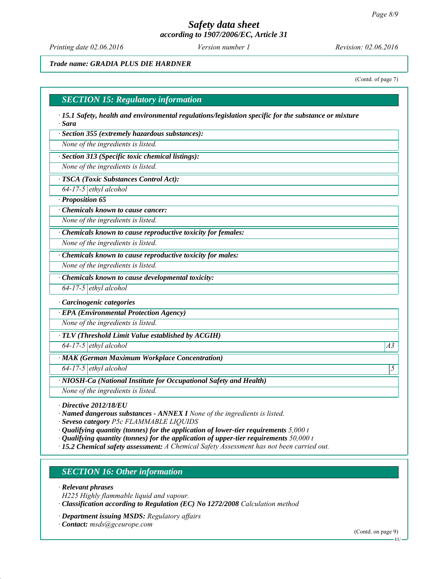*Printing date 02.06.2016 Revision: 02.06.2016 Version number 1*

## *Trade name: GRADIA PLUS DIE HARDNER*

(Contd. of page 7)

# *SECTION 15: Regulatory information ∙ 15.1 Safety, health and environmental regulations/legislation specific for the substance or mixture ∙ Sara ∙ Section 355 (extremely hazardous substances): None of the ingredients is listed. ∙ Section 313 (Specific toxic chemical listings): None of the ingredients is listed. ∙ TSCA (Toxic Substances Control Act): 64-17-5 ethyl alcohol ∙ Proposition 65 ∙ Chemicals known to cause cancer: None of the ingredients is listed. ∙ Chemicals known to cause reproductive toxicity for females: None of the ingredients is listed. ∙ Chemicals known to cause reproductive toxicity for males: None of the ingredients is listed. ∙ Chemicals known to cause developmental toxicity: 64-17-5 ethyl alcohol ∙ Carcinogenic categories ∙ EPA (Environmental Protection Agency) None of the ingredients is listed. ∙ TLV (Threshold Limit Value established by ACGIH) 64-17-5 ethyl alcohol A3 ∙ MAK (German Maximum Workplace Concentration) 64-17-5 ethyl alcohol 5 ∙ NIOSH-Ca (National Institute for Occupational Safety and Health) None of the ingredients is listed.*

*∙ Directive 2012/18/EU*

*∙ Named dangerous substances - ANNEX I None of the ingredients is listed.*

*∙ Seveso category P5c FLAMMABLE LIQUIDS*

- *∙ Qualifying quantity (tonnes) for the application of lower-tier requirements 5,000 t*
- *∙ Qualifying quantity (tonnes) for the application of upper-tier requirements 50,000 t*
- *∙ 15.2 Chemical safety assessment: A Chemical Safety Assessment has not been carried out.*

## *SECTION 16: Other information*

*∙ Relevant phrases*

- *H225 Highly flammable liquid and vapour.*
- *∙ Classification according to Regulation (EC) No 1272/2008 Calculation method*
- *∙ Department issuing MSDS: Regulatory affairs*
- *∙ Contact: msds@gceurope.com*

(Contd. on page 9)

EU